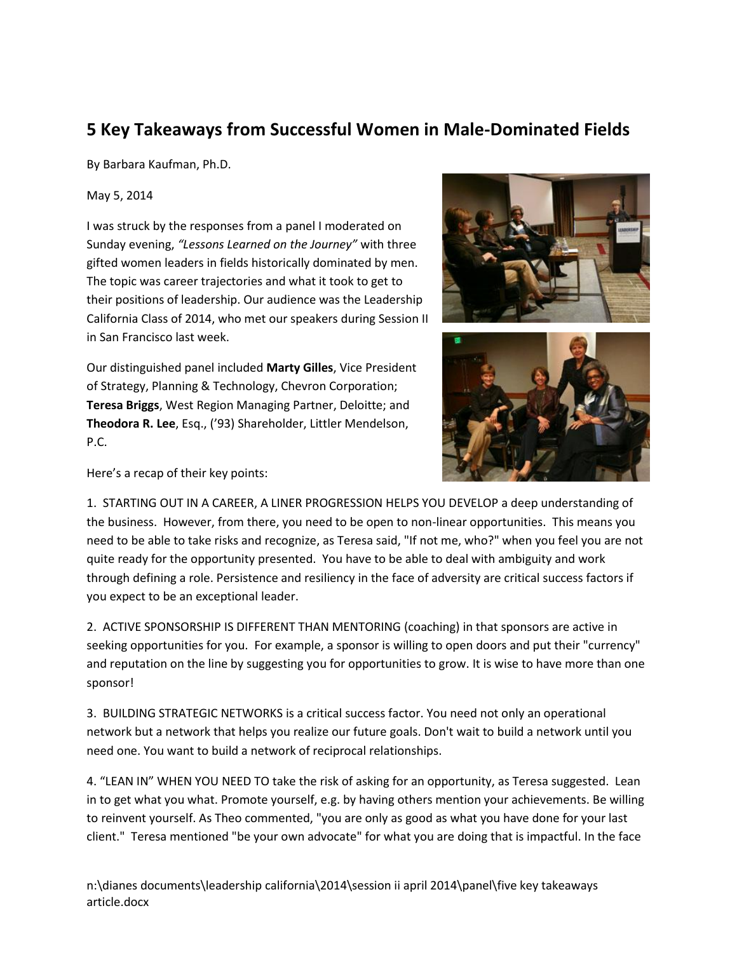## **5 Key Takeaways from Successful Women in Male-Dominated Fields**

By Barbara Kaufman, Ph.D.

May 5, 2014

I was struck by the responses from a panel I moderated on Sunday evening, *"Lessons Learned on the Journey"* with three gifted women leaders in fields historically dominated by men. The topic was career trajectories and what it took to get to their positions of leadership. Our audience was the Leadership California Class of 2014, who met our speakers during Session II in San Francisco last week.



Our distinguished panel included **Marty Gilles**, Vice President of Strategy, Planning & Technology, Chevron Corporation; **Teresa Briggs**, West Region Managing Partner, Deloitte; and **Theodora R. Lee**, Esq., ('93) Shareholder, Littler Mendelson, P.C.



Here's a recap of their key points:

1. STARTING OUT IN A CAREER, A LINER PROGRESSION HELPS YOU DEVELOP a deep understanding of the business. However, from there, you need to be open to non-linear opportunities. This means you need to be able to take risks and recognize, as Teresa said, "If not me, who?" when you feel you are not quite ready for the opportunity presented. You have to be able to deal with ambiguity and work through defining a role. Persistence and resiliency in the face of adversity are critical success factors if you expect to be an exceptional leader.

2. ACTIVE SPONSORSHIP IS DIFFERENT THAN MENTORING (coaching) in that sponsors are active in seeking opportunities for you. For example, a sponsor is willing to open doors and put their "currency" and reputation on the line by suggesting you for opportunities to grow. It is wise to have more than one sponsor!

3. BUILDING STRATEGIC NETWORKS is a critical success factor. You need not only an operational network but a network that helps you realize our future goals. Don't wait to build a network until you need one. You want to build a network of reciprocal relationships.

4. "LEAN IN" WHEN YOU NEED TO take the risk of asking for an opportunity, as Teresa suggested. Lean in to get what you what. Promote yourself, e.g. by having others mention your achievements. Be willing to reinvent yourself. As Theo commented, "you are only as good as what you have done for your last client." Teresa mentioned "be your own advocate" for what you are doing that is impactful. In the face